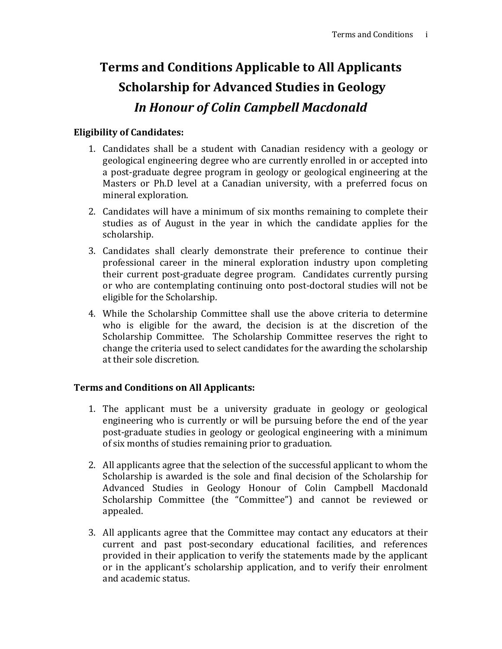## **Terms and Conditions Applicable to All Applicants Scholarship for Advanced Studies in Geology** *In Honour of Colin Campbell Macdonald*

## **Eligibility of Candidates:**

- 1. Candidates shall be a student with Canadian residency with a geology or geological engineering degree who are currently enrolled in or accepted into a post-graduate degree program in geology or geological engineering at the Masters or Ph.D level at a Canadian university, with a preferred focus on mineral exploration.
- 2. Candidates will have a minimum of six months remaining to complete their studies as of August in the year in which the candidate applies for the scholarship.
- 3. Candidates shall clearly demonstrate their preference to continue their professional career in the mineral exploration industry upon completing their current post-graduate degree program. Candidates currently pursing or who are contemplating continuing onto post-doctoral studies will not be eligible for the Scholarship.
- 4. While the Scholarship Committee shall use the above criteria to determine who is eligible for the award, the decision is at the discretion of the Scholarship Committee. The Scholarship Committee reserves the right to change the criteria used to select candidates for the awarding the scholarship at their sole discretion.

## **Terms and Conditions on All Applicants:**

- 1. The applicant must be a university graduate in geology or geological engineering who is currently or will be pursuing before the end of the year post-graduate studies in geology or geological engineering with a minimum of six months of studies remaining prior to graduation.
- 2. All applicants agree that the selection of the successful applicant to whom the Scholarship is awarded is the sole and final decision of the Scholarship for Advanced Studies in Geology Honour of Colin Campbell Macdonald Scholarship Committee (the "Committee") and cannot be reviewed or appealed.
- 3. All applicants agree that the Committee may contact any educators at their current and past post-secondary educational facilities, and references provided in their application to verify the statements made by the applicant or in the applicant's scholarship application, and to verify their enrolment and academic status.